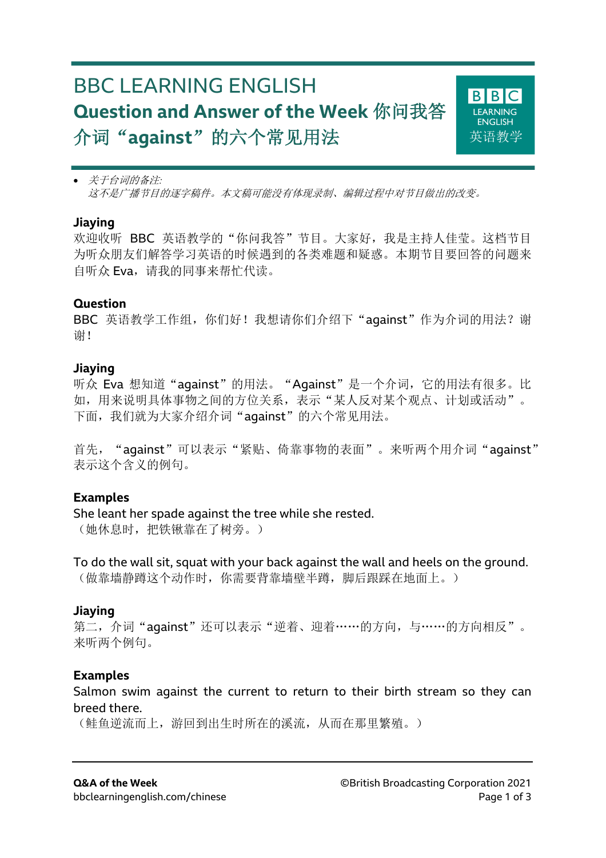# BBC LEARNING ENGLISH **Question and Answer of the Week** 你问我答 介词"**against**"的六个常见用法



• 关于台词的备注*:* 这不是广播节目的逐字稿件。本文稿可能没有体现录制、编辑过程中对节目做出的改变。

#### **Jiaying**

欢迎收听 BBC 英语教学的"你问我答"节目。大家好, 我是主持人佳莹。这档节目 为听众朋友们解答学习英语的时候遇到的各类难题和疑惑。本期节目要回答的问题来 自听众 Eva, 请我的同事来帮忙代读。

#### **Question**

BBC 英语教学工作组, 你们好!我想请你们介绍下"aqainst"作为介词的用法?谢 谢!

#### **Jiaying**

听众 Eva 想知道"against"的用法。"Against"是一个介词,它的用法有很多。比 如,用来说明具体事物之间的方位关系,表示"某人反对某个观点、计划或活动"。 下面,我们就为大家介绍介词"against"的六个常见用法。

首先, "against"可以表示"紧贴、倚靠事物的表面"。来听两个用介词"aqainst" 表示这个含义的例句。

#### **Examples**

She leant her spade against the tree while she rested. (她休息时,把铁锹靠在了树旁。)

To do the wall sit, squat with your back against the wall and heels on the ground. (做靠墙静蹲这个动作时,你需要背靠墙壁半蹲,脚后跟踩在地面上。)

#### **Jiaying**

第二, 介词"aqainst"还可以表示"逆着、迎着……的方向, 与……的方向相反"。 来听两个例句。

#### **Examples**

Salmon swim against the current to return to their birth stream so they can breed there.

(鲑鱼逆流而上,游回到出生时所在的溪流,从而在那里繁殖。)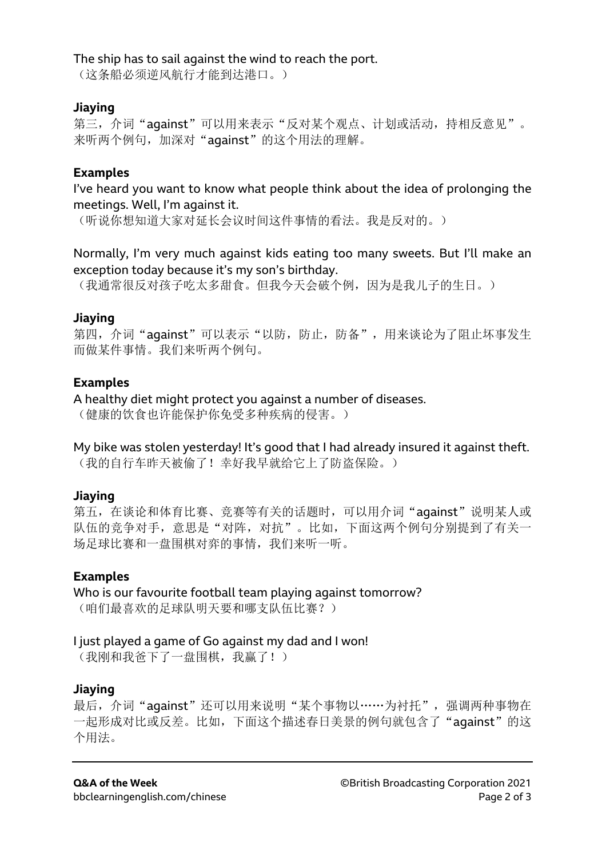#### The ship has to sail against the wind to reach the port.

(这条船必须逆风航行才能到达港口。)

### **Jiaying**

第三, 介词"against"可以用来表示"反对某个观点、计划或活动, 持相反意见"。 来听两个例句,加深对"aqainst"的这个用法的理解。

# **Examples**

I've heard you want to know what people think about the idea of prolonging the meetings. Well, I'm against it.

(听说你想知道大家对延长会议时间这件事情的看法。我是反对的。)

Normally, I'm very much against kids eating too many sweets. But I'll make an exception today because it's my son's birthday.

(我通常很反对孩子吃太多甜食。但我今天会破个例,因为是我儿子的生日。)

### **Jiaying**

第四, 介词"aqainst"可以表示"以防, 防止, 防备", 用来谈论为了阻止坏事发生 而做某件事情。我们来听两个例句。

# **Examples**

A healthy diet might protect you against a number of diseases.

(健康的饮食也许能保护你免受多种疾病的侵害。)

My bike was stolen yesterday! It's good that I had already insured it against theft. (我的自行车昨天被偷了!幸好我早就给它上了防盗保险。)

# **Jiaying**

第五, 在谈论和体育比赛、竞赛等有关的话题时, 可以用介词"aqainst"说明某人或 队伍的竞争对手,意思是"对阵,对抗"。比如,下面这两个例句分别提到了有关一 场足球比赛和一盘围棋对弈的事情,我们来听一听。

# **Examples**

Who is our favourite football team playing against tomorrow? (咱们最喜欢的足球队明天要和哪支队伍比赛?)

# I just played a game of Go against my dad and I won!

(我刚和我爸下了一盘围棋,我赢了!)

# **Jiaying**

最后, 介词"aqainst"还可以用来说明"某个事物以……为衬托", 强调两种事物在 一起形成对比或反差。比如,下面这个描述春日美景的例句就包含了"against"的这 个用法。